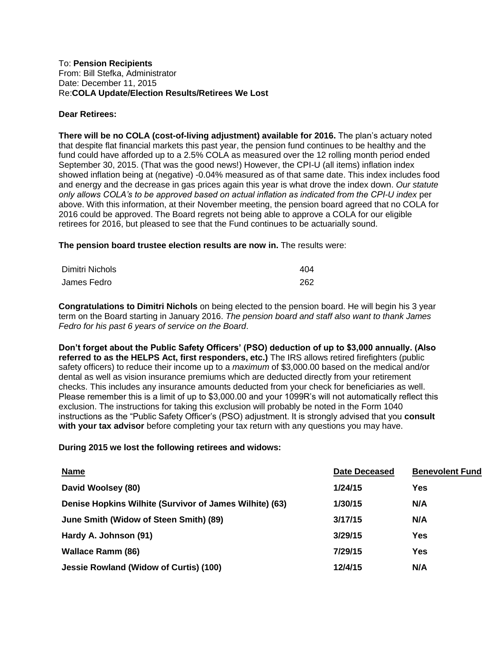## To: **Pension Recipients** From: Bill Stefka, Administrator Date: December 11, 2015 Re:**COLA Update/Election Results/Retirees We Lost**

## **Dear Retirees:**

**There will be no COLA (cost-of-living adjustment) available for 2016.** The plan's actuary noted that despite flat financial markets this past year, the pension fund continues to be healthy and the fund could have afforded up to a 2.5% COLA as measured over the 12 rolling month period ended September 30, 2015. (That was the good news!) However, the CPI-U (all items) inflation index showed inflation being at (negative) -0.04% measured as of that same date. This index includes food and energy and the decrease in gas prices again this year is what drove the index down. *Our statute only allows COLA's to be approved based on actual inflation as indicated from the CPI-U index* per above. With this information, at their November meeting, the pension board agreed that no COLA for 2016 could be approved. The Board regrets not being able to approve a COLA for our eligible retirees for 2016, but pleased to see that the Fund continues to be actuarially sound.

**The pension board trustee election results are now in.** The results were:

| Dimitri Nichols | 404 |
|-----------------|-----|
| James Fedro     | 262 |

**Congratulations to Dimitri Nichols** on being elected to the pension board. He will begin his 3 year term on the Board starting in January 2016. *The pension board and staff also want to thank James Fedro for his past 6 years of service on the Board*.

**Don't forget about the Public Safety Officers' (PSO) deduction of up to \$3,000 annually. (Also referred to as the HELPS Act, first responders, etc.)** The IRS allows retired firefighters (public safety officers) to reduce their income up to a *maximum* of \$3,000.00 based on the medical and/or dental as well as vision insurance premiums which are deducted directly from your retirement checks. This includes any insurance amounts deducted from your check for beneficiaries as well. Please remember this is a limit of up to \$3,000.00 and your 1099R's will not automatically reflect this exclusion. The instructions for taking this exclusion will probably be noted in the Form 1040 instructions as the "Public Safety Officer's (PSO) adjustment. It is strongly advised that you **consult with your tax advisor** before completing your tax return with any questions you may have.

## **During 2015 we lost the following retirees and widows:**

| <b>Name</b>                                             | <b>Date Deceased</b> | <b>Benevolent Fund</b> |
|---------------------------------------------------------|----------------------|------------------------|
| David Woolsey (80)                                      | 1/24/15              | Yes                    |
| Denise Hopkins Wilhite (Survivor of James Wilhite) (63) | 1/30/15              | N/A                    |
| June Smith (Widow of Steen Smith) (89)                  | 3/17/15              | N/A                    |
| Hardy A. Johnson (91)                                   | 3/29/15              | Yes                    |
| <b>Wallace Ramm (86)</b>                                | 7/29/15              | Yes                    |
| Jessie Rowland (Widow of Curtis) (100)                  | 12/4/15              | N/A                    |